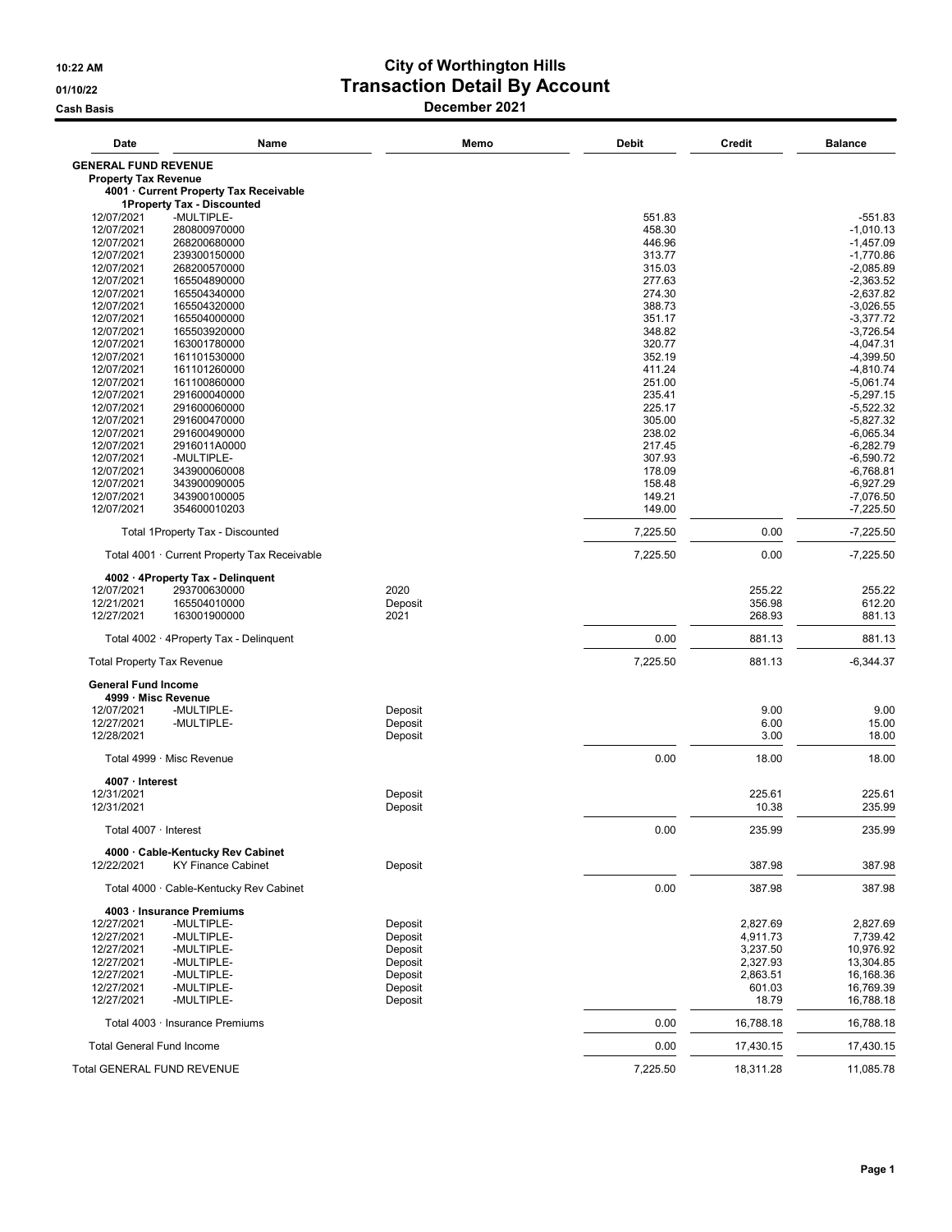## 10:22 AM City of Worthington Hills 01/10/22 **Transaction Detail By Account** External Cash Basis Cash Basis **December 2021**

| Date                              | Name                                         | Memo    | <b>Debit</b>     | Credit    | <b>Balance</b>             |
|-----------------------------------|----------------------------------------------|---------|------------------|-----------|----------------------------|
| <b>GENERAL FUND REVENUE</b>       |                                              |         |                  |           |                            |
| <b>Property Tax Revenue</b>       |                                              |         |                  |           |                            |
|                                   | 4001 Current Property Tax Receivable         |         |                  |           |                            |
|                                   | 1Property Tax - Discounted                   |         |                  |           |                            |
| 12/07/2021<br>12/07/2021          | -MULTIPLE-<br>280800970000                   |         | 551.83<br>458.30 |           | $-551.83$<br>$-1,010.13$   |
| 12/07/2021                        | 268200680000                                 |         | 446.96           |           | $-1,457.09$                |
| 12/07/2021                        | 239300150000                                 |         | 313.77           |           | $-1,770.86$                |
| 12/07/2021                        | 268200570000                                 |         | 315.03           |           | $-2,085.89$                |
| 12/07/2021                        | 165504890000                                 |         | 277.63           |           | $-2,363.52$                |
| 12/07/2021                        | 165504340000                                 |         | 274.30           |           | $-2,637.82$                |
| 12/07/2021                        | 165504320000                                 |         | 388.73           |           | $-3,026.55$                |
| 12/07/2021                        | 165504000000                                 |         | 351.17           |           | $-3,377.72$                |
| 12/07/2021                        | 165503920000                                 |         | 348.82           |           | $-3,726.54$                |
| 12/07/2021<br>12/07/2021          | 163001780000<br>161101530000                 |         | 320.77<br>352.19 |           | $-4,047.31$<br>$-4,399.50$ |
| 12/07/2021                        | 161101260000                                 |         | 411.24           |           | $-4,810.74$                |
| 12/07/2021                        | 161100860000                                 |         | 251.00           |           | $-5,061.74$                |
| 12/07/2021                        | 291600040000                                 |         | 235.41           |           | $-5,297.15$                |
| 12/07/2021                        | 291600060000                                 |         | 225.17           |           | $-5,522.32$                |
| 12/07/2021                        | 291600470000                                 |         | 305.00           |           | $-5,827.32$                |
| 12/07/2021                        | 291600490000                                 |         | 238.02           |           | $-6,065.34$                |
| 12/07/2021                        | 2916011A0000                                 |         | 217.45           |           | $-6,282.79$                |
| 12/07/2021                        | -MULTIPLE-                                   |         | 307.93           |           | $-6,590.72$                |
| 12/07/2021                        | 343900060008                                 |         | 178.09           |           | $-6,768.81$                |
| 12/07/2021                        | 343900090005                                 |         | 158.48           |           | $-6,927.29$                |
| 12/07/2021                        | 343900100005                                 |         | 149.21           |           | $-7,076.50$                |
| 12/07/2021                        | 354600010203                                 |         | 149.00           |           | $-7,225.50$                |
|                                   | <b>Total 1Property Tax - Discounted</b>      |         | 7,225.50         | 0.00      | $-7,225.50$                |
|                                   | Total 4001 · Current Property Tax Receivable |         | 7,225.50         | 0.00      | $-7,225.50$                |
|                                   | 4002 · 4Property Tax - Delinquent            |         |                  |           |                            |
| 12/07/2021                        | 293700630000                                 | 2020    |                  | 255.22    | 255.22                     |
| 12/21/2021                        | 165504010000                                 | Deposit |                  | 356.98    | 612.20                     |
| 12/27/2021                        | 163001900000                                 | 2021    |                  | 268.93    | 881.13                     |
|                                   | Total 4002 · 4Property Tax - Delinquent      |         | 0.00             | 881.13    | 881.13                     |
| <b>Total Property Tax Revenue</b> |                                              |         | 7,225.50         | 881.13    | $-6,344.37$                |
| <b>General Fund Income</b>        |                                              |         |                  |           |                            |
| 4999 · Misc Revenue               |                                              |         |                  |           |                            |
| 12/07/2021                        | -MULTIPLE-                                   | Deposit |                  | 9.00      | 9.00                       |
| 12/27/2021                        | -MULTIPLE-                                   | Deposit |                  | 6.00      | 15.00                      |
| 12/28/2021                        |                                              | Deposit |                  | 3.00      | 18.00                      |
|                                   | Total 4999 · Misc Revenue                    |         | 0.00             | 18.00     | 18.00                      |
| 4007 · Interest                   |                                              |         |                  |           |                            |
| 12/31/2021                        |                                              | Deposit |                  | 225.61    | 225.61                     |
| 12/31/2021                        |                                              | Deposit |                  | 10.38     | 235.99                     |
| Total 4007 · Interest             |                                              |         | 0.00             | 235.99    | 235.99                     |
|                                   | 4000 Cable-Kentucky Rev Cabinet              |         |                  |           |                            |
| 12/22/2021                        | <b>KY Finance Cabinet</b>                    | Deposit |                  | 387.98    | 387.98                     |
|                                   | Total 4000 · Cable-Kentucky Rev Cabinet      |         | 0.00             | 387.98    | 387.98                     |
|                                   | 4003 · Insurance Premiums                    |         |                  |           |                            |
| 12/27/2021                        | -MULTIPLE-                                   | Deposit |                  | 2,827.69  | 2,827.69                   |
| 12/27/2021                        | -MULTIPLE-                                   | Deposit |                  | 4,911.73  | 7,739.42                   |
| 12/27/2021                        | -MULTIPLE-                                   | Deposit |                  | 3,237.50  | 10,976.92                  |
| 12/27/2021                        | -MULTIPLE-                                   | Deposit |                  | 2,327.93  | 13,304.85                  |
| 12/27/2021                        | -MULTIPLE-                                   | Deposit |                  | 2,863.51  | 16,168.36                  |
| 12/27/2021                        | -MULTIPLE-                                   | Deposit |                  | 601.03    | 16,769.39                  |
| 12/27/2021                        | -MULTIPLE-                                   | Deposit |                  | 18.79     | 16,788.18                  |
|                                   | Total 4003 · Insurance Premiums              |         | 0.00             | 16,788.18 | 16,788.18                  |
| <b>Total General Fund Income</b>  |                                              |         | 0.00             | 17,430.15 | 17,430.15                  |
| Total GENERAL FUND REVENUE        |                                              |         | 7,225.50         | 18,311.28 | 11,085.78                  |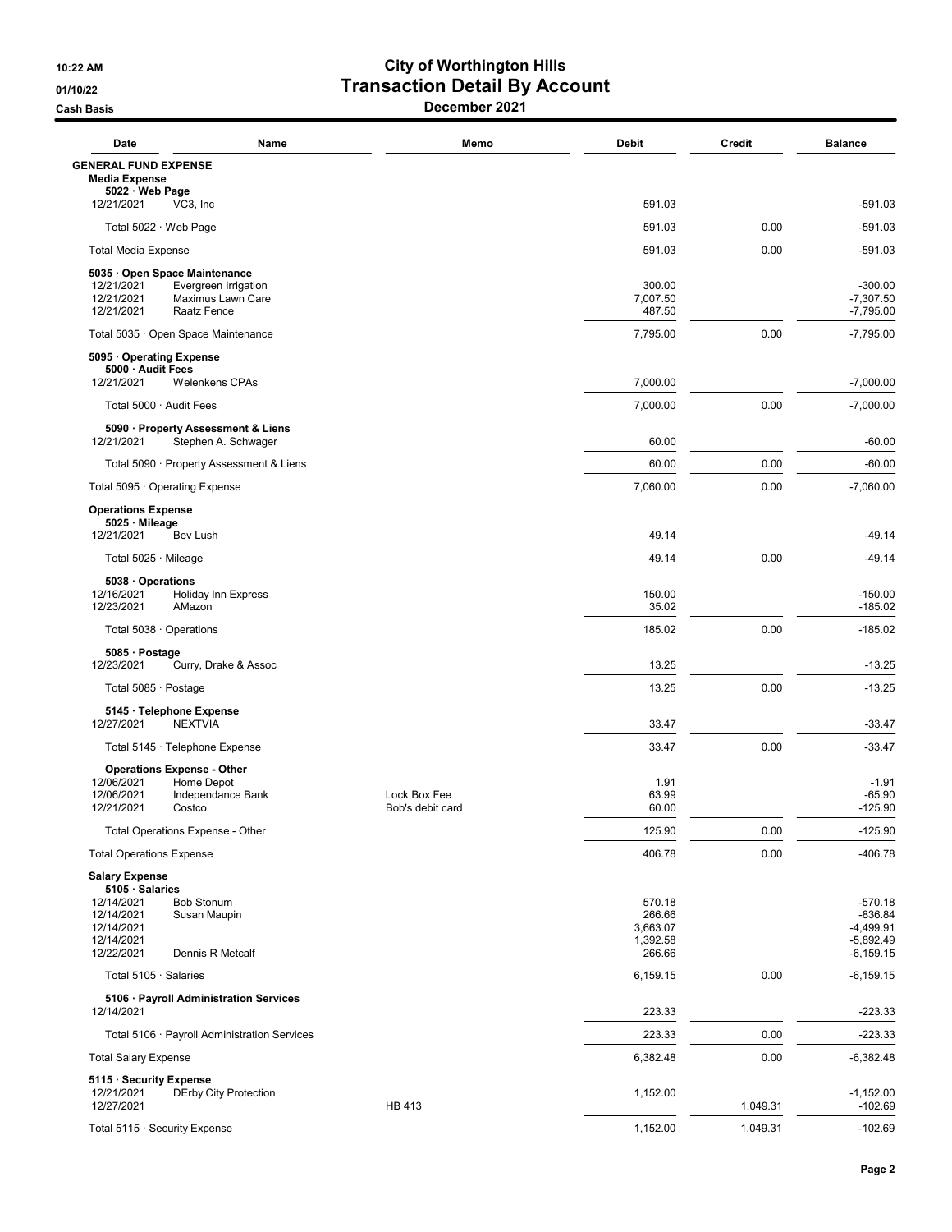## 10:22 AM City of Worthington Hills 01/10/22 **Transaction Detail By Account** External Cash Basis Cash Basis **December 2021**

| Date                                                | Name                                                      | Memo             | <b>Debit</b>       | Credit   | <b>Balance</b>             |
|-----------------------------------------------------|-----------------------------------------------------------|------------------|--------------------|----------|----------------------------|
| <b>GENERAL FUND EXPENSE</b><br><b>Media Expense</b> |                                                           |                  |                    |          |                            |
| 5022 · Web Page<br>12/21/2021                       | VC3, Inc                                                  |                  | 591.03             |          | $-591.03$                  |
|                                                     | Total 5022 · Web Page                                     |                  | 591.03             | 0.00     | $-591.03$                  |
| <b>Total Media Expense</b>                          |                                                           |                  | 591.03             | 0.00     | $-591.03$                  |
|                                                     | 5035 · Open Space Maintenance                             |                  |                    |          |                            |
| 12/21/2021<br>12/21/2021                            | Evergreen Irrigation<br>Maximus Lawn Care                 |                  | 300.00<br>7,007.50 |          | $-300.00$<br>$-7,307.50$   |
| 12/21/2021                                          | Raatz Fence                                               |                  | 487.50             |          | $-7,795.00$                |
|                                                     | Total 5035 · Open Space Maintenance                       |                  | 7,795.00           | 0.00     | $-7,795.00$                |
| 5095 Operating Expense<br>5000 · Audit Fees         |                                                           |                  |                    |          |                            |
| 12/21/2021                                          | <b>Welenkens CPAs</b>                                     |                  | 7,000.00           |          | $-7,000.00$                |
|                                                     | Total 5000 · Audit Fees                                   |                  | 7,000.00           | 0.00     | $-7,000.00$                |
| 12/21/2021                                          | 5090 · Property Assessment & Liens<br>Stephen A. Schwager |                  | 60.00              |          | $-60.00$                   |
|                                                     | Total 5090 · Property Assessment & Liens                  |                  | 60.00              | 0.00     | $-60.00$                   |
|                                                     | Total 5095 · Operating Expense                            |                  | 7,060.00           | 0.00     | $-7,060.00$                |
| <b>Operations Expense</b>                           |                                                           |                  |                    |          |                            |
| 5025 · Mileage                                      |                                                           |                  |                    |          |                            |
| 12/21/2021                                          | Bev Lush                                                  |                  | 49.14<br>49.14     | 0.00     | $-49.14$<br>$-49.14$       |
| Total 5025 · Mileage<br>5038 Operations             |                                                           |                  |                    |          |                            |
| 12/16/2021<br>12/23/2021                            | <b>Holiday Inn Express</b><br>AMazon                      |                  | 150.00<br>35.02    |          | $-150.00$<br>$-185.02$     |
|                                                     | Total 5038 · Operations                                   |                  | 185.02             | 0.00     | $-185.02$                  |
| 5085 · Postage<br>12/23/2021                        | Curry, Drake & Assoc                                      |                  | 13.25              |          | $-13.25$                   |
| Total 5085 · Postage                                |                                                           |                  | 13.25              | 0.00     | $-13.25$                   |
| 12/27/2021                                          | 5145 · Telephone Expense<br><b>NEXTVIA</b>                |                  | 33.47              |          | $-33.47$                   |
|                                                     | Total 5145 · Telephone Expense                            |                  | 33.47              | 0.00     | $-33.47$                   |
|                                                     | <b>Operations Expense - Other</b>                         |                  |                    |          |                            |
| 12/06/2021<br>12/06/2021                            | Home Depot<br>Independance Bank                           | Lock Box Fee     | 1.91<br>63.99      |          | $-1.91$<br>$-65.90$        |
| 12/21/2021                                          | Costco                                                    | Bob's debit card | 60.00              |          | $-125.90$                  |
|                                                     | Total Operations Expense - Other                          |                  | 125.90             | 0.00     | $-125.90$                  |
| <b>Total Operations Expense</b>                     |                                                           |                  | 406.78             | 0.00     | $-406.78$                  |
| <b>Salary Expense</b><br>5105 · Salaries            |                                                           |                  |                    |          |                            |
| 12/14/2021                                          | <b>Bob Stonum</b>                                         |                  | 570.18             |          | $-570.18$                  |
| 12/14/2021                                          | Susan Maupin                                              |                  | 266.66             |          | $-836.84$                  |
| 12/14/2021                                          |                                                           |                  | 3,663.07           |          | $-4,499.91$                |
| 12/14/2021<br>12/22/2021                            | Dennis R Metcalf                                          |                  | 1,392.58<br>266.66 |          | $-5,892.49$<br>$-6,159.15$ |
| Total 5105 · Salaries                               |                                                           |                  | 6,159.15           | 0.00     | $-6, 159.15$               |
|                                                     | 5106 · Payroll Administration Services                    |                  |                    |          |                            |
| 12/14/2021                                          |                                                           |                  | 223.33             |          | $-223.33$                  |
|                                                     | Total 5106 · Payroll Administration Services              |                  | 223.33             | 0.00     | $-223.33$                  |
| <b>Total Salary Expense</b>                         |                                                           |                  | 6,382.48           | 0.00     | $-6,382.48$                |
| 5115 · Security Expense                             |                                                           |                  |                    |          |                            |
| 12/21/2021<br>12/27/2021                            | <b>DErby City Protection</b>                              | <b>HB 413</b>    | 1,152.00           | 1,049.31 | $-1,152.00$<br>$-102.69$   |
|                                                     | Total 5115 · Security Expense                             |                  | 1,152.00           | 1,049.31 | $-102.69$                  |